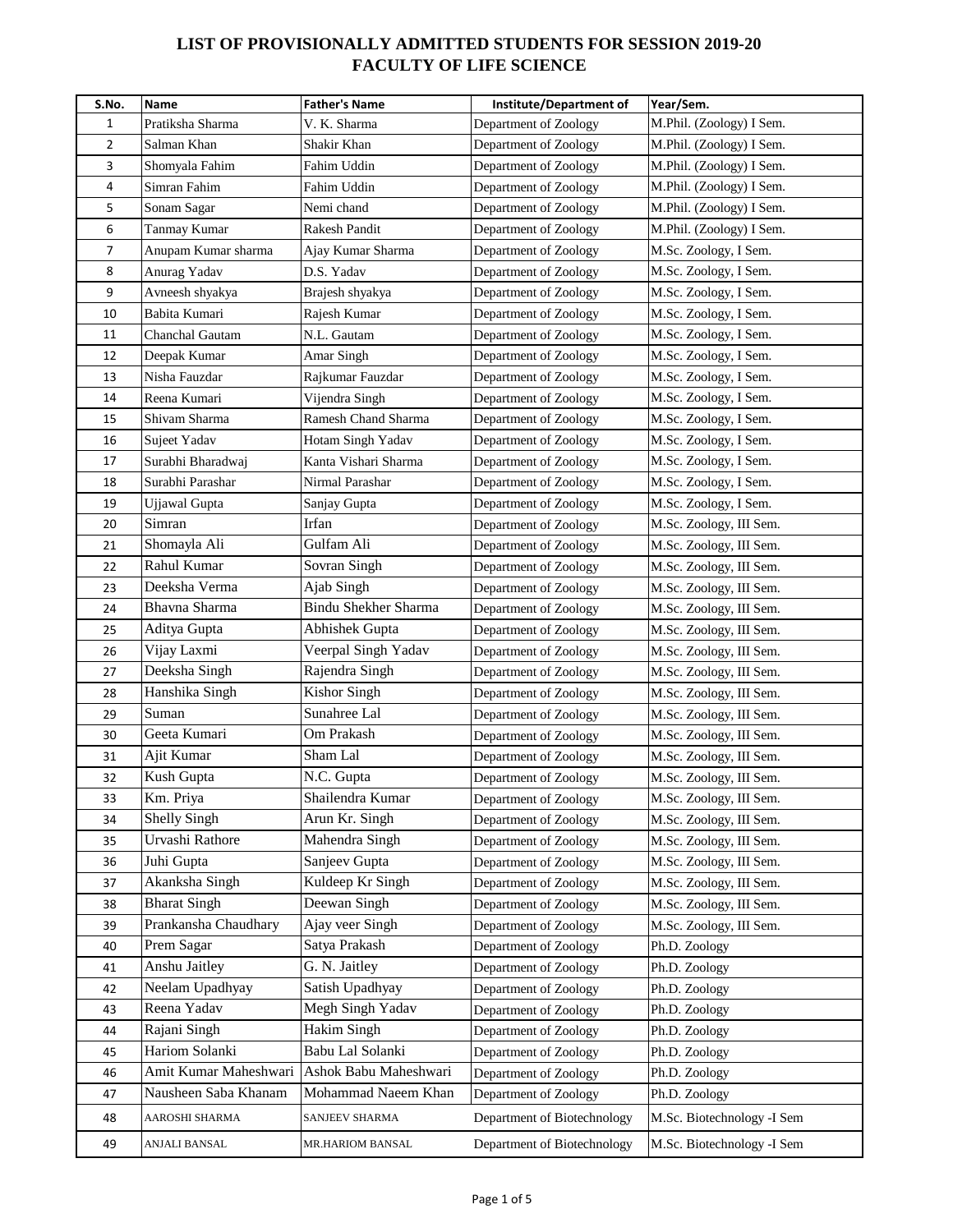| S.No. | Name                  | <b>Father's Name</b>        | Institute/Department of     | Year/Sem.                  |
|-------|-----------------------|-----------------------------|-----------------------------|----------------------------|
| 1     | Pratiksha Sharma      | V. K. Sharma                | Department of Zoology       | M.Phil. (Zoology) I Sem.   |
| 2     | Salman Khan           | Shakir Khan                 | Department of Zoology       | M.Phil. (Zoology) I Sem.   |
| 3     | Shomyala Fahim        | Fahim Uddin                 | Department of Zoology       | M.Phil. (Zoology) I Sem.   |
| 4     | Simran Fahim          | Fahim Uddin                 | Department of Zoology       | M.Phil. (Zoology) I Sem.   |
| 5     | Sonam Sagar           | Nemi chand                  | Department of Zoology       | M.Phil. (Zoology) I Sem.   |
| 6     | Tanmay Kumar          | Rakesh Pandit               | Department of Zoology       | M.Phil. (Zoology) I Sem.   |
| 7     | Anupam Kumar sharma   | Ajay Kumar Sharma           | Department of Zoology       | M.Sc. Zoology, I Sem.      |
| 8     | Anurag Yadav          | D.S. Yadav                  | Department of Zoology       | M.Sc. Zoology, I Sem.      |
| 9     | Avneesh shyakya       | Brajesh shyakya             | Department of Zoology       | M.Sc. Zoology, I Sem.      |
| 10    | Babita Kumari         | Rajesh Kumar                | Department of Zoology       | M.Sc. Zoology, I Sem.      |
| 11    | Chanchal Gautam       | N.L. Gautam                 | Department of Zoology       | M.Sc. Zoology, I Sem.      |
| 12    | Deepak Kumar          | Amar Singh                  | Department of Zoology       | M.Sc. Zoology, I Sem.      |
| 13    | Nisha Fauzdar         | Rajkumar Fauzdar            | Department of Zoology       | M.Sc. Zoology, I Sem.      |
| 14    | Reena Kumari          | Vijendra Singh              | Department of Zoology       | M.Sc. Zoology, I Sem.      |
| 15    | Shivam Sharma         | Ramesh Chand Sharma         | Department of Zoology       | M.Sc. Zoology, I Sem.      |
| 16    | Sujeet Yadav          | Hotam Singh Yadav           | Department of Zoology       | M.Sc. Zoology, I Sem.      |
| 17    | Surabhi Bharadwaj     | Kanta Vishari Sharma        | Department of Zoology       | M.Sc. Zoology, I Sem.      |
| 18    | Surabhi Parashar      | Nirmal Parashar             | Department of Zoology       | M.Sc. Zoology, I Sem.      |
| 19    | Ujjawal Gupta         | Sanjay Gupta                | Department of Zoology       | M.Sc. Zoology, I Sem.      |
| 20    | Simran                | Irfan                       | Department of Zoology       | M.Sc. Zoology, III Sem.    |
| 21    | Shomayla Ali          | Gulfam Ali                  | Department of Zoology       | M.Sc. Zoology, III Sem.    |
| 22    | Rahul Kumar           | Sovran Singh                | Department of Zoology       | M.Sc. Zoology, III Sem.    |
| 23    | Deeksha Verma         | Ajab Singh                  | Department of Zoology       | M.Sc. Zoology, III Sem.    |
| 24    | Bhavna Sharma         | <b>Bindu Shekher Sharma</b> | Department of Zoology       | M.Sc. Zoology, III Sem.    |
| 25    | Aditya Gupta          | Abhishek Gupta              | Department of Zoology       | M.Sc. Zoology, III Sem.    |
| 26    | Vijay Laxmi           | Veerpal Singh Yadav         | Department of Zoology       | M.Sc. Zoology, III Sem.    |
| 27    | Deeksha Singh         | Rajendra Singh              | Department of Zoology       | M.Sc. Zoology, III Sem.    |
| 28    | Hanshika Singh        | <b>Kishor Singh</b>         | Department of Zoology       | M.Sc. Zoology, III Sem.    |
| 29    | Suman                 | Sunahree Lal                | Department of Zoology       | M.Sc. Zoology, III Sem.    |
| 30    | Geeta Kumari          | Om Prakash                  | Department of Zoology       | M.Sc. Zoology, III Sem.    |
| 31    | Ajit Kumar            | Sham Lal                    | Department of Zoology       | M.Sc. Zoology, III Sem.    |
| 32    | Kush Gupta            | N.C. Gupta                  | Department of Zoology       | M.Sc. Zoology, III Sem.    |
| 33    | Km. Priya             | Shailendra Kumar            | Department of Zoology       | M.Sc. Zoology, III Sem.    |
| 34    | <b>Shelly Singh</b>   | Arun Kr. Singh              | Department of Zoology       | M.Sc. Zoology, III Sem.    |
| 35    | Urvashi Rathore       | Mahendra Singh              | Department of Zoology       | M.Sc. Zoology, III Sem.    |
| 36    | Juhi Gupta            | Sanjeev Gupta               | Department of Zoology       | M.Sc. Zoology, III Sem.    |
| 37    | Akanksha Singh        | Kuldeep Kr Singh            | Department of Zoology       | M.Sc. Zoology, III Sem.    |
| 38    | <b>Bharat Singh</b>   | Deewan Singh                | Department of Zoology       | M.Sc. Zoology, III Sem.    |
| 39    | Prankansha Chaudhary  | Ajay veer Singh             | Department of Zoology       | M.Sc. Zoology, III Sem.    |
| 40    | Prem Sagar            | Satya Prakash               | Department of Zoology       | Ph.D. Zoology              |
| 41    | Anshu Jaitley         | G. N. Jaitley               | Department of Zoology       | Ph.D. Zoology              |
| 42    | Neelam Upadhyay       | Satish Upadhyay             | Department of Zoology       | Ph.D. Zoology              |
| 43    | Reena Yadav           | Megh Singh Yadav            | Department of Zoology       | Ph.D. Zoology              |
| 44    | Rajani Singh          | <b>Hakim Singh</b>          | Department of Zoology       | Ph.D. Zoology              |
| 45    | Hariom Solanki        | Babu Lal Solanki            | Department of Zoology       | Ph.D. Zoology              |
| 46    | Amit Kumar Maheshwari | Ashok Babu Maheshwari       | Department of Zoology       | Ph.D. Zoology              |
| 47    | Nausheen Saba Khanam  | Mohammad Naeem Khan         | Department of Zoology       | Ph.D. Zoology              |
| 48    | AAROSHI SHARMA        | SANJEEV SHARMA              | Department of Biotechnology | M.Sc. Biotechnology -I Sem |
| 49    | ANJALI BANSAL         | MR.HARIOM BANSAL            | Department of Biotechnology | M.Sc. Biotechnology -I Sem |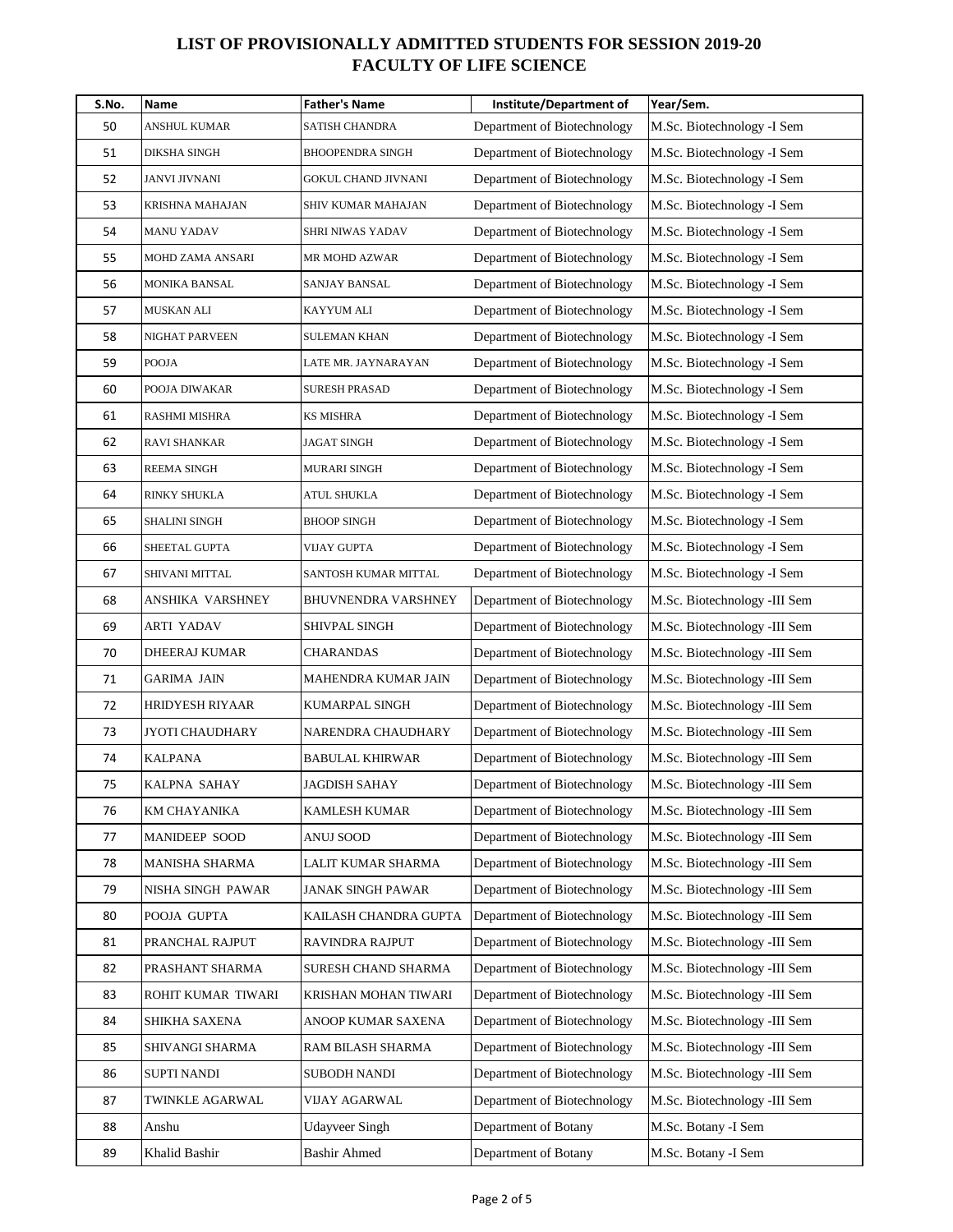| S.No. | Name               | <b>Father's Name</b>       | Institute/Department of     | Year/Sem.                    |
|-------|--------------------|----------------------------|-----------------------------|------------------------------|
| 50    | ANSHUL KUMAR       | SATISH CHANDRA             | Department of Biotechnology | M.Sc. Biotechnology -I Sem   |
| 51    | DIKSHA SINGH       | <b>BHOOPENDRA SINGH</b>    | Department of Biotechnology | M.Sc. Biotechnology -I Sem   |
| 52    | JANVI JIVNANI      | <b>GOKUL CHAND JIVNANI</b> | Department of Biotechnology | M.Sc. Biotechnology -I Sem   |
| 53    | KRISHNA MAHAJAN    | SHIV KUMAR MAHAJAN         | Department of Biotechnology | M.Sc. Biotechnology -I Sem   |
| 54    | MANU YADAV         | SHRI NIWAS YADAV           | Department of Biotechnology | M.Sc. Biotechnology -I Sem   |
| 55    | MOHD ZAMA ANSARI   | MR MOHD AZWAR              | Department of Biotechnology | M.Sc. Biotechnology -I Sem   |
| 56    | MONIKA BANSAL      | SANJAY BANSAL              | Department of Biotechnology | M.Sc. Biotechnology -I Sem   |
| 57    | MUSKAN ALI         | KAYYUM ALI                 | Department of Biotechnology | M.Sc. Biotechnology -I Sem   |
| 58    | NIGHAT PARVEEN     | SULEMAN KHAN               | Department of Biotechnology | M.Sc. Biotechnology -I Sem   |
| 59    | POOJA              | LATE MR. JAYNARAYAN        | Department of Biotechnology | M.Sc. Biotechnology -I Sem   |
| 60    | POOJA DIWAKAR      | <b>SURESH PRASAD</b>       | Department of Biotechnology | M.Sc. Biotechnology -I Sem   |
| 61    | RASHMI MISHRA      | KS MISHRA                  | Department of Biotechnology | M.Sc. Biotechnology -I Sem   |
| 62    | RAVI SHANKAR       | <b>JAGAT SINGH</b>         | Department of Biotechnology | M.Sc. Biotechnology -I Sem   |
| 63    | <b>REEMA SINGH</b> | MURARI SINGH               | Department of Biotechnology | M.Sc. Biotechnology -I Sem   |
| 64    | RINKY SHUKLA       | ATUL SHUKLA                | Department of Biotechnology | M.Sc. Biotechnology -I Sem   |
| 65    | SHALINI SINGH      | BHOOP SINGH                | Department of Biotechnology | M.Sc. Biotechnology -I Sem   |
| 66    | SHEETAL GUPTA      | VIJAY GUPTA                | Department of Biotechnology | M.Sc. Biotechnology -I Sem   |
| 67    | SHIVANI MITTAL     | SANTOSH KUMAR MITTAL       | Department of Biotechnology | M.Sc. Biotechnology -I Sem   |
| 68    | ANSHIKA VARSHNEY   | <b>BHUVNENDRA VARSHNEY</b> | Department of Biotechnology | M.Sc. Biotechnology -III Sem |
| 69    | ARTI YADAV         | SHIVPAL SINGH              | Department of Biotechnology | M.Sc. Biotechnology -III Sem |
| 70    | DHEERAJ KUMAR      | CHARANDAS                  | Department of Biotechnology | M.Sc. Biotechnology -III Sem |
| 71    | GARIMA JAIN        | MAHENDRA KUMAR JAIN        | Department of Biotechnology | M.Sc. Biotechnology -III Sem |
| 72    | HRIDYESH RIYAAR    | KUMARPAL SINGH             | Department of Biotechnology | M.Sc. Biotechnology -III Sem |
| 73    | JYOTI CHAUDHARY    | NARENDRA CHAUDHARY         | Department of Biotechnology | M.Sc. Biotechnology -III Sem |
| 74    | KALPANA            | <b>BABULAL KHIRWAR</b>     | Department of Biotechnology | M.Sc. Biotechnology -III Sem |
| 75    | KALPNA SAHAY       | JAGDISH SAHAY              | Department of Biotechnology | M.Sc. Biotechnology -III Sem |
| 76    | KM CHAYANIKA       | KAMLESH KUMAR              | Department of Biotechnology | M.Sc. Biotechnology -III Sem |
| 77    | MANIDEEP SOOD      | <b>ANUJ SOOD</b>           | Department of Biotechnology | M.Sc. Biotechnology -III Sem |
| 78    | MANISHA SHARMA     | LALIT KUMAR SHARMA         | Department of Biotechnology | M.Sc. Biotechnology -III Sem |
| 79    | NISHA SINGH PAWAR  | <b>JANAK SINGH PAWAR</b>   | Department of Biotechnology | M.Sc. Biotechnology -III Sem |
| 80    | POOJA GUPTA        | KAILASH CHANDRA GUPTA      | Department of Biotechnology | M.Sc. Biotechnology -III Sem |
| 81    | PRANCHAL RAJPUT    | RAVINDRA RAJPUT            | Department of Biotechnology | M.Sc. Biotechnology -III Sem |
| 82    | PRASHANT SHARMA    | SURESH CHAND SHARMA        | Department of Biotechnology | M.Sc. Biotechnology -III Sem |
| 83    | ROHIT KUMAR TIWARI | KRISHAN MOHAN TIWARI       | Department of Biotechnology | M.Sc. Biotechnology -III Sem |
| 84    | SHIKHA SAXENA      | ANOOP KUMAR SAXENA         | Department of Biotechnology | M.Sc. Biotechnology -III Sem |
| 85    | SHIVANGI SHARMA    | RAM BILASH SHARMA          | Department of Biotechnology | M.Sc. Biotechnology -III Sem |
| 86    | SUPTI NANDI        | SUBODH NANDI               | Department of Biotechnology | M.Sc. Biotechnology -III Sem |
| 87    | TWINKLE AGARWAL    | VIJAY AGARWAL              | Department of Biotechnology | M.Sc. Biotechnology -III Sem |
| 88    | Anshu              | <b>Udayveer Singh</b>      | Department of Botany        | M.Sc. Botany -I Sem          |
| 89    | Khalid Bashir      | <b>Bashir Ahmed</b>        | Department of Botany        | M.Sc. Botany -I Sem          |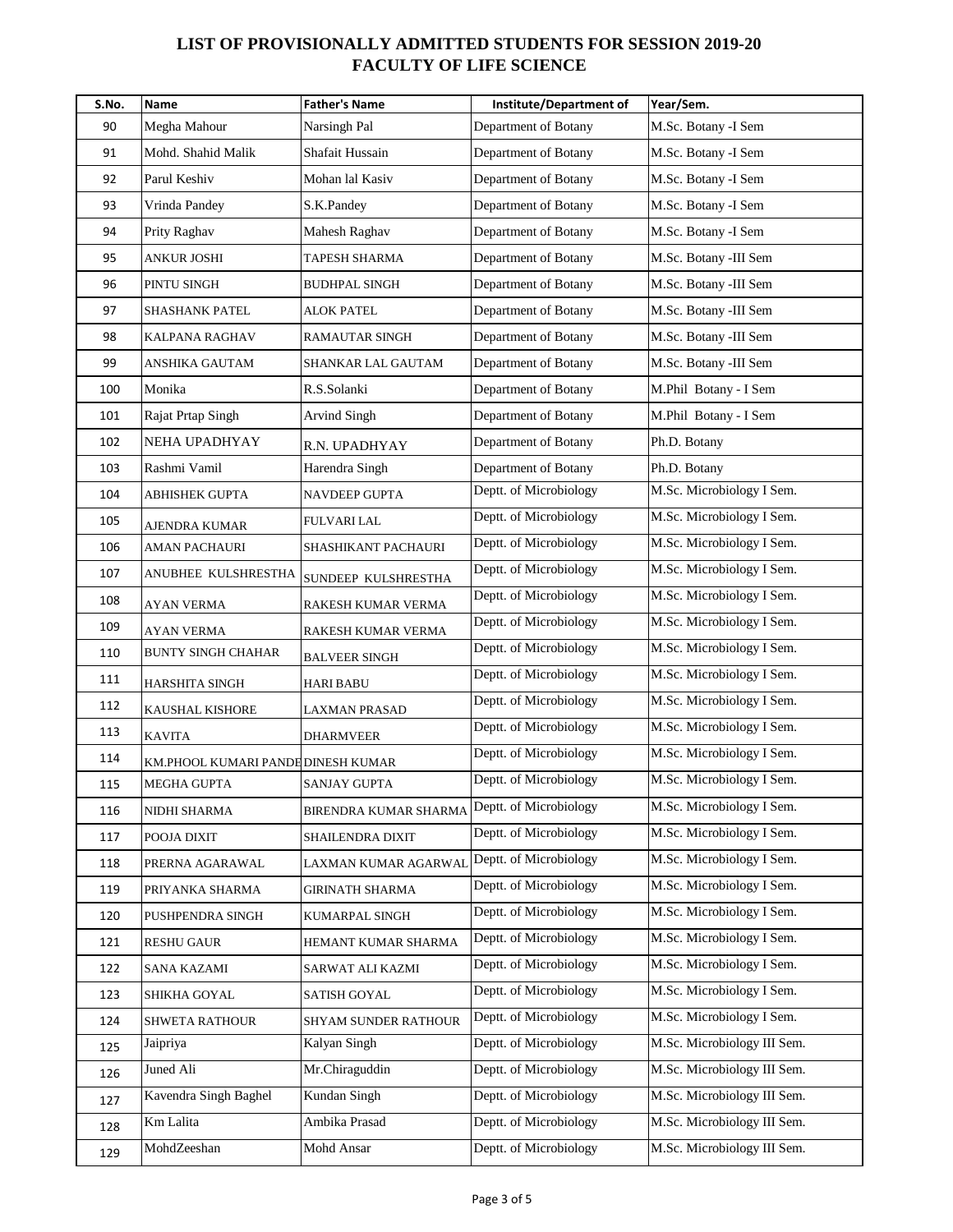| S.No. | Name                               | <b>Father's Name</b>  | Institute/Department of | Year/Sem.                   |
|-------|------------------------------------|-----------------------|-------------------------|-----------------------------|
| 90    | Megha Mahour                       | Narsingh Pal          | Department of Botany    | M.Sc. Botany -I Sem         |
| 91    | Mohd. Shahid Malik                 | Shafait Hussain       | Department of Botany    | M.Sc. Botany -I Sem         |
| 92    | Parul Keshiv                       | Mohan lal Kasiv       | Department of Botany    | M.Sc. Botany -I Sem         |
| 93    | Vrinda Pandey                      | S.K.Pandey            | Department of Botany    | M.Sc. Botany -I Sem         |
| 94    | Prity Raghav                       | Mahesh Raghav         | Department of Botany    | M.Sc. Botany -I Sem         |
| 95    | <b>ANKUR JOSHI</b>                 | TAPESH SHARMA         | Department of Botany    | M.Sc. Botany -III Sem       |
| 96    | PINTU SINGH                        | BUDHPAL SINGH         | Department of Botany    | M.Sc. Botany -III Sem       |
| 97    | SHASHANK PATEL                     | ALOK PATEL            | Department of Botany    | M.Sc. Botany -III Sem       |
| 98    | KALPANA RAGHAV                     | RAMAUTAR SINGH        | Department of Botany    | M.Sc. Botany -III Sem       |
| 99    | ANSHIKA GAUTAM                     | SHANKAR LAL GAUTAM    | Department of Botany    | M.Sc. Botany -III Sem       |
| 100   | Monika                             | R.S.Solanki           | Department of Botany    | M.Phil Botany - I Sem       |
| 101   | Rajat Prtap Singh                  | Arvind Singh          | Department of Botany    | M.Phil Botany - I Sem       |
| 102   | NEHA UPADHYAY                      | R.N. UPADHYAY         | Department of Botany    | Ph.D. Botany                |
| 103   | Rashmi Vamil                       | Harendra Singh        | Department of Botany    | Ph.D. Botany                |
| 104   | ABHISHEK GUPTA                     | NAVDEEP GUPTA         | Deptt. of Microbiology  | M.Sc. Microbiology I Sem.   |
| 105   | <b>AJENDRA KUMAR</b>               | <b>FULVARI LAL</b>    | Deptt. of Microbiology  | M.Sc. Microbiology I Sem.   |
| 106   | AMAN PACHAURI                      | SHASHIKANT PACHAURI   | Deptt. of Microbiology  | M.Sc. Microbiology I Sem.   |
| 107   | ANUBHEE KULSHRESTHA                | SUNDEEP KULSHRESTHA   | Deptt. of Microbiology  | M.Sc. Microbiology I Sem.   |
| 108   | AYAN VERMA                         | RAKESH KUMAR VERMA    | Deptt. of Microbiology  | M.Sc. Microbiology I Sem.   |
| 109   | <b>AYAN VERMA</b>                  | RAKESH KUMAR VERMA    | Deptt. of Microbiology  | M.Sc. Microbiology I Sem.   |
| 110   | <b>BUNTY SINGH CHAHAR</b>          | <b>BALVEER SINGH</b>  | Deptt. of Microbiology  | M.Sc. Microbiology I Sem.   |
| 111   | HARSHITA SINGH                     | <b>HARI BABU</b>      | Deptt. of Microbiology  | M.Sc. Microbiology I Sem.   |
| 112   | KAUSHAL KISHORE                    | LAXMAN PRASAD         | Deptt. of Microbiology  | M.Sc. Microbiology I Sem.   |
| 113   | <b>KAVITA</b>                      | <b>DHARMVEER</b>      | Deptt. of Microbiology  | M.Sc. Microbiology I Sem.   |
| 114   | KM.PHOOL KUMARI PANDE DINESH KUMAR |                       | Deptt. of Microbiology  | M.Sc. Microbiology I Sem.   |
| 115   | MEGHA GUPTA                        | SANJAY GUPTA          | Deptt. of Microbiology  | M.Sc. Microbiology I Sem.   |
| 116   | NIDHI SHARMA                       | BIRENDRA KUMAR SHARMA | Deptt. of Microbiology  | M.Sc. Microbiology I Sem.   |
| 117   | POOJA DIXIT                        | SHAILENDRA DIXIT      | Deptt. of Microbiology  | M.Sc. Microbiology I Sem.   |
| 118   | PRERNA AGARAWAL                    | LAXMAN KUMAR AGARWAL  | Deptt. of Microbiology  | M.Sc. Microbiology I Sem.   |
| 119   | PRIYANKA SHARMA                    | GIRINATH SHARMA       | Deptt. of Microbiology  | M.Sc. Microbiology I Sem.   |
| 120   | PUSHPENDRA SINGH                   | KUMARPAL SINGH        | Deptt. of Microbiology  | M.Sc. Microbiology I Sem.   |
| 121   | <b>RESHU GAUR</b>                  | HEMANT KUMAR SHARMA   | Deptt. of Microbiology  | M.Sc. Microbiology I Sem.   |
| 122   | <b>SANA KAZAMI</b>                 | SARWAT ALI KAZMI      | Deptt. of Microbiology  | M.Sc. Microbiology I Sem.   |
| 123   | SHIKHA GOYAL                       | SATISH GOYAL          | Deptt. of Microbiology  | M.Sc. Microbiology I Sem.   |
| 124   | SHWETA RATHOUR                     | SHYAM SUNDER RATHOUR  | Deptt. of Microbiology  | M.Sc. Microbiology I Sem.   |
| 125   | Jaipriya                           | Kalyan Singh          | Deptt. of Microbiology  | M.Sc. Microbiology III Sem. |
| 126   | Juned Ali                          | Mr.Chiraguddin        | Deptt. of Microbiology  | M.Sc. Microbiology III Sem. |
| 127   | Kavendra Singh Baghel              | Kundan Singh          | Deptt. of Microbiology  | M.Sc. Microbiology III Sem. |
| 128   | Km Lalita                          | Ambika Prasad         | Deptt. of Microbiology  | M.Sc. Microbiology III Sem. |
| 129   | MohdZeeshan                        | Mohd Ansar            | Deptt. of Microbiology  | M.Sc. Microbiology III Sem. |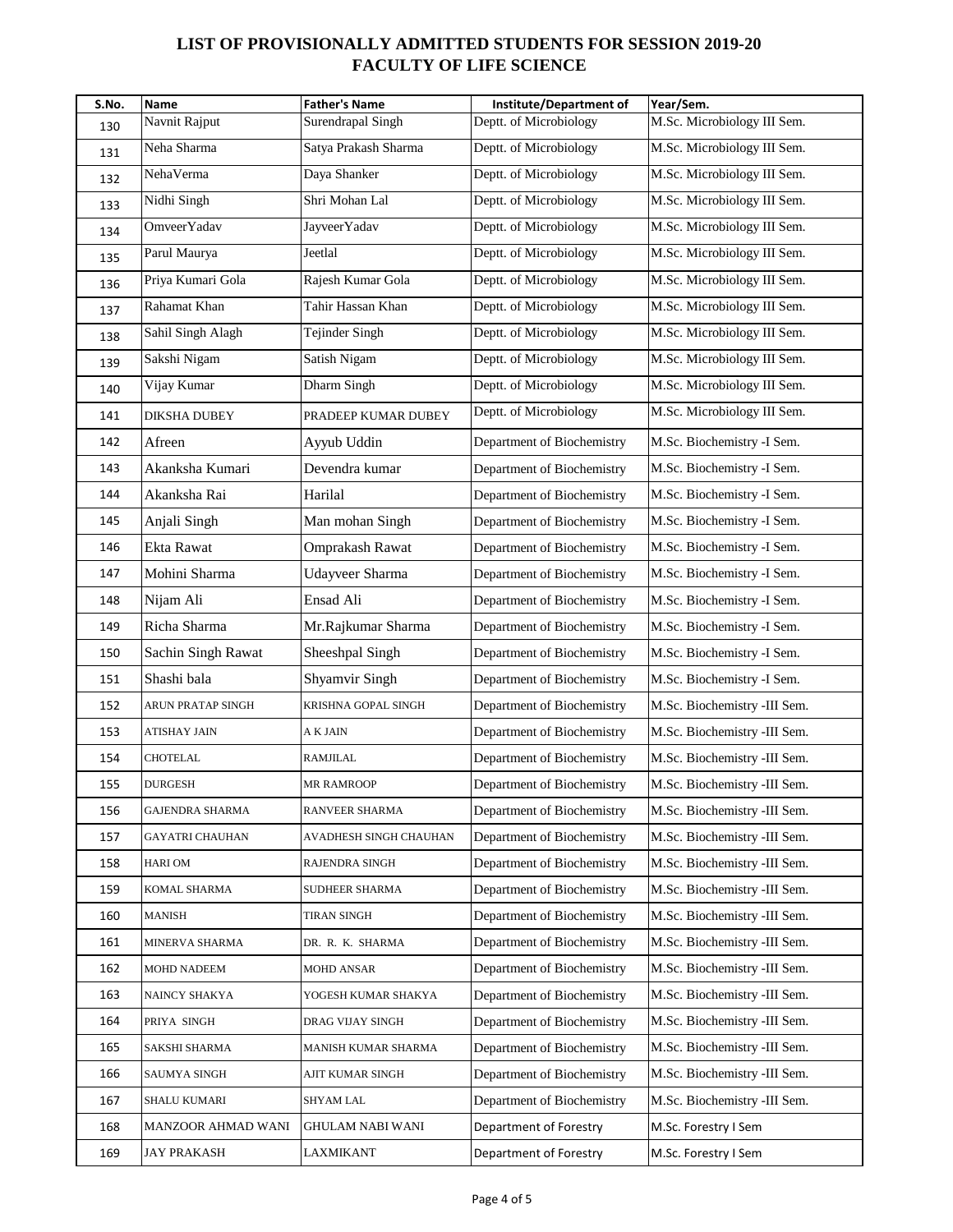| S.No. | Name                | <b>Father's Name</b>   | Institute/Department of    | Year/Sem.                    |
|-------|---------------------|------------------------|----------------------------|------------------------------|
| 130   | Navnit Rajput       | Surendrapal Singh      | Deptt. of Microbiology     | M.Sc. Microbiology III Sem.  |
| 131   | Neha Sharma         | Satya Prakash Sharma   | Deptt. of Microbiology     | M.Sc. Microbiology III Sem.  |
| 132   | NehaVerma           | Daya Shanker           | Deptt. of Microbiology     | M.Sc. Microbiology III Sem.  |
| 133   | Nidhi Singh         | Shri Mohan Lal         | Deptt. of Microbiology     | M.Sc. Microbiology III Sem.  |
| 134   | OmveerYadav         | <b>JayveerYadav</b>    | Deptt. of Microbiology     | M.Sc. Microbiology III Sem.  |
| 135   | Parul Maurya        | Jeetlal                | Deptt. of Microbiology     | M.Sc. Microbiology III Sem.  |
| 136   | Priya Kumari Gola   | Rajesh Kumar Gola      | Deptt. of Microbiology     | M.Sc. Microbiology III Sem.  |
| 137   | Rahamat Khan        | Tahir Hassan Khan      | Deptt. of Microbiology     | M.Sc. Microbiology III Sem.  |
| 138   | Sahil Singh Alagh   | Tejinder Singh         | Deptt. of Microbiology     | M.Sc. Microbiology III Sem.  |
| 139   | Sakshi Nigam        | Satish Nigam           | Deptt. of Microbiology     | M.Sc. Microbiology III Sem.  |
| 140   | Vijay Kumar         | Dharm Singh            | Deptt. of Microbiology     | M.Sc. Microbiology III Sem.  |
| 141   | DIKSHA DUBEY        | PRADEEP KUMAR DUBEY    | Deptt. of Microbiology     | M.Sc. Microbiology III Sem.  |
| 142   | Afreen              | Ayyub Uddin            | Department of Biochemistry | M.Sc. Biochemistry -I Sem.   |
| 143   | Akanksha Kumari     | Devendra kumar         | Department of Biochemistry | M.Sc. Biochemistry -I Sem.   |
| 144   | Akanksha Rai        | Harilal                | Department of Biochemistry | M.Sc. Biochemistry -I Sem.   |
| 145   | Anjali Singh        | Man mohan Singh        | Department of Biochemistry | M.Sc. Biochemistry -I Sem.   |
| 146   | Ekta Rawat          | <b>Omprakash Rawat</b> | Department of Biochemistry | M.Sc. Biochemistry -I Sem.   |
| 147   | Mohini Sharma       | <b>Udayveer Sharma</b> | Department of Biochemistry | M.Sc. Biochemistry -I Sem.   |
| 148   | Nijam Ali           | Ensad Ali              | Department of Biochemistry | M.Sc. Biochemistry -I Sem.   |
| 149   | Richa Sharma        | Mr.Rajkumar Sharma     | Department of Biochemistry | M.Sc. Biochemistry -I Sem.   |
| 150   | Sachin Singh Rawat  | Sheeshpal Singh        | Department of Biochemistry | M.Sc. Biochemistry -I Sem.   |
| 151   | Shashi bala         | Shyamvir Singh         | Department of Biochemistry | M.Sc. Biochemistry -I Sem.   |
| 152   | ARUN PRATAP SINGH   | KRISHNA GOPAL SINGH    | Department of Biochemistry | M.Sc. Biochemistry -III Sem. |
| 153   | <b>ATISHAY JAIN</b> | A K JAIN               | Department of Biochemistry | M.Sc. Biochemistry -III Sem. |
| 154   | CHOTELAL            | RAMJILAL               | Department of Biochemistry | M.Sc. Biochemistry -III Sem. |
| 155   | <b>DURGESH</b>      | <b>MR RAMROOP</b>      | Department of Biochemistry | M.Sc. Biochemistry -III Sem. |
| 156   | GAJENDRA SHARMA     | RANVEER SHARMA         | Department of Biochemistry | M.Sc. Biochemistry -III Sem. |
| 157   | GAYATRI CHAUHAN     | AVADHESH SINGH CHAUHAN | Department of Biochemistry | M.Sc. Biochemistry -III Sem. |
| 158   | HARI OM             | RAJENDRA SINGH         | Department of Biochemistry | M.Sc. Biochemistry -III Sem. |
| 159   | KOMAL SHARMA        | SUDHEER SHARMA         | Department of Biochemistry | M.Sc. Biochemistry -III Sem. |
| 160   | MANISH              | TIRAN SINGH            | Department of Biochemistry | M.Sc. Biochemistry -III Sem. |
| 161   | MINERVA SHARMA      | DR. R. K. SHARMA       | Department of Biochemistry | M.Sc. Biochemistry -III Sem. |
| 162   | MOHD NADEEM         | MOHD ANSAR             | Department of Biochemistry | M.Sc. Biochemistry -III Sem. |
| 163   | NAINCY SHAKYA       | YOGESH KUMAR SHAKYA    | Department of Biochemistry | M.Sc. Biochemistry -III Sem. |
| 164   | PRIYA SINGH         | DRAG VIJAY SINGH       | Department of Biochemistry | M.Sc. Biochemistry -III Sem. |
| 165   | SAKSHI SHARMA       | MANISH KUMAR SHARMA    | Department of Biochemistry | M.Sc. Biochemistry -III Sem. |
| 166   | SAUMYA SINGH        | AJIT KUMAR SINGH       | Department of Biochemistry | M.Sc. Biochemistry -III Sem. |
| 167   | SHALU KUMARI        | SHYAM LAL              | Department of Biochemistry | M.Sc. Biochemistry -III Sem. |
| 168   | MANZOOR AHMAD WANI  | GHULAM NABI WANI       | Department of Forestry     | M.Sc. Forestry I Sem         |
| 169   | JAY PRAKASH         | LAXMIKANT              | Department of Forestry     | M.Sc. Forestry I Sem         |